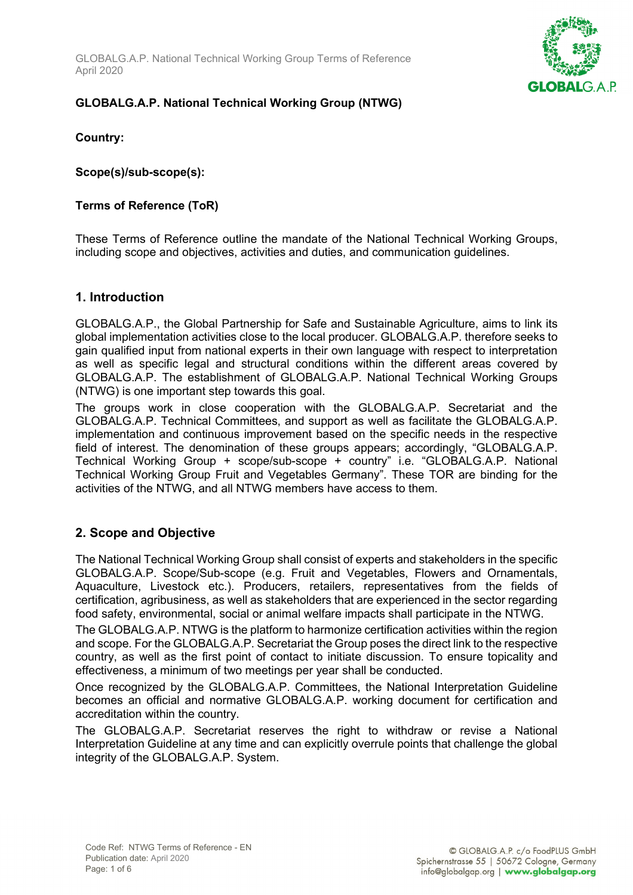GLOBALG.A.P. National Technical Working Group Terms of Reference April 2020



### **GLOBALG.A.P. National Technical Working Group (NTWG)**

**Country:** 

**Scope(s)/sub-scope(s):** 

#### **Terms of Reference (ToR)**

These Terms of Reference outline the mandate of the National Technical Working Groups, including scope and objectives, activities and duties, and communication guidelines.

#### **1. Introduction**

GLOBALG.A.P., the Global Partnership for Safe and Sustainable Agriculture, aims to link its global implementation activities close to the local producer. GLOBALG.A.P. therefore seeks to gain qualified input from national experts in their own language with respect to interpretation as well as specific legal and structural conditions within the different areas covered by GLOBALG.A.P. The establishment of GLOBALG.A.P. National Technical Working Groups (NTWG) is one important step towards this goal.

The groups work in close cooperation with the GLOBALG.A.P. Secretariat and the GLOBALG.A.P. Technical Committees, and support as well as facilitate the GLOBALG.A.P. implementation and continuous improvement based on the specific needs in the respective field of interest. The denomination of these groups appears; accordingly, "GLOBALG.A.P. Technical Working Group + scope/sub-scope + country" i.e. "GLOBALG.A.P. National Technical Working Group Fruit and Vegetables Germany". These TOR are binding for the activities of the NTWG, and all NTWG members have access to them.

### **2. Scope and Objective**

The National Technical Working Group shall consist of experts and stakeholders in the specific GLOBALG.A.P. Scope/Sub-scope (e.g. Fruit and Vegetables, Flowers and Ornamentals, Aquaculture, Livestock etc.). Producers, retailers, representatives from the fields of certification, agribusiness, as well as stakeholders that are experienced in the sector regarding food safety, environmental, social or animal welfare impacts shall participate in the NTWG.

The GLOBALG.A.P. NTWG is the platform to harmonize certification activities within the region and scope. For the GLOBALG.A.P. Secretariat the Group poses the direct link to the respective country, as well as the first point of contact to initiate discussion. To ensure topicality and effectiveness, a minimum of two meetings per year shall be conducted.

Once recognized by the GLOBALG.A.P. Committees, the National Interpretation Guideline becomes an official and normative GLOBALG.A.P. working document for certification and accreditation within the country.

The GLOBALG.A.P. Secretariat reserves the right to withdraw or revise a National Interpretation Guideline at any time and can explicitly overrule points that challenge the global integrity of the GLOBALG.A.P. System.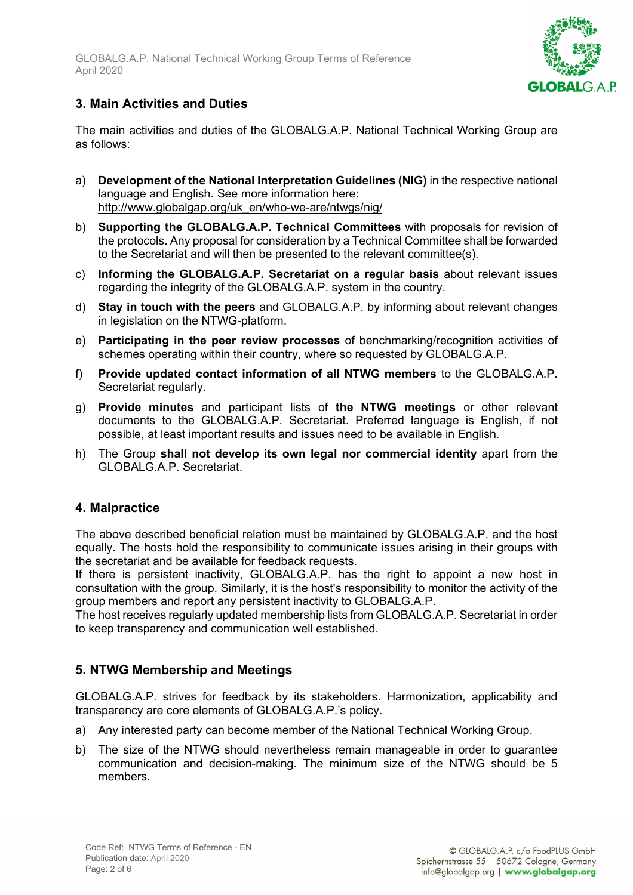

## **3. Main Activities and Duties**

The main activities and duties of the GLOBALG.A.P. National Technical Working Group are as follows:

- a) **Development of the National Interpretation Guidelines (NIG)** in the respective national language and English. See more information here: [http://www.globalgap.org/uk\\_en/who-we-are/ntwgs/nig/](http://www.globalgap.org/uk_en/who-we-are/ntwgs/nig/)
- b) **Supporting the GLOBALG.A.P. Technical Committees** with proposals for revision of the protocols. Any proposal for consideration by a Technical Committee shall be forwarded to the Secretariat and will then be presented to the relevant committee(s).
- c) **Informing the GLOBALG.A.P. Secretariat on a regular basis** about relevant issues regarding the integrity of the GLOBALG.A.P. system in the country.
- d) **Stay in touch with the peers** and GLOBALG.A.P. by informing about relevant changes in legislation on the NTWG-platform.
- e) **Participating in the peer review processes** of benchmarking/recognition activities of schemes operating within their country, where so requested by GLOBALG.A.P.
- f) **Provide updated contact information of all NTWG members** to the GLOBALG.A.P. Secretariat regularly.
- g) **Provide minutes** and participant lists of **the NTWG meetings** or other relevant documents to the GLOBALG.A.P. Secretariat. Preferred language is English, if not possible, at least important results and issues need to be available in English.
- h) The Group **shall not develop its own legal nor commercial identity** apart from the GLOBALG.A.P. Secretariat.

### **4. Malpractice**

The above described beneficial relation must be maintained by GLOBALG.A.P. and the host equally. The hosts hold the responsibility to communicate issues arising in their groups with the secretariat and be available for feedback requests.

If there is persistent inactivity, GLOBALG.A.P. has the right to appoint a new host in consultation with the group. Similarly, it is the host's responsibility to monitor the activity of the group members and report any persistent inactivity to GLOBALG.A.P.

The host receives regularly updated membership lists from GLOBALG.A.P. Secretariat in order to keep transparency and communication well established.

### **5. NTWG Membership and Meetings**

GLOBALG.A.P. strives for feedback by its stakeholders. Harmonization, applicability and transparency are core elements of GLOBALG.A.P.'s policy.

- a) Any interested party can become member of the National Technical Working Group.
- b) The size of the NTWG should nevertheless remain manageable in order to guarantee communication and decision-making. The minimum size of the NTWG should be 5 members.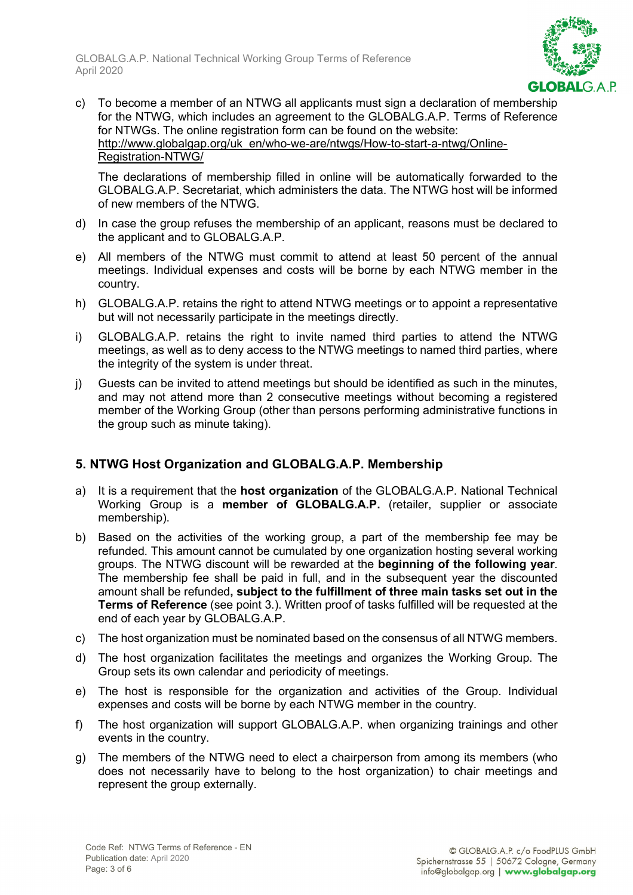

c) To become a member of an NTWG all applicants must sign a declaration of membership for the NTWG, which includes an agreement to the GLOBALG.A.P. Terms of Reference for NTWGs. The online registration form can be found on the website: [http://www.globalgap.org/uk\\_en/who-we-are/ntwgs/How-to-start-a-ntwg/Online-](http://www.globalgap.org/uk_en/who-we-are/ntwgs/How-to-start-a-ntwg/Online-Registration-NTWG/)[Registration-NTWG/](http://www.globalgap.org/uk_en/who-we-are/ntwgs/How-to-start-a-ntwg/Online-Registration-NTWG/)

The declarations of membership filled in online will be automatically forwarded to the GLOBALG.A.P. Secretariat, which administers the data. The NTWG host will be informed of new members of the NTWG.

- d) In case the group refuses the membership of an applicant, reasons must be declared to the applicant and to GLOBALG.A.P.
- e) All members of the NTWG must commit to attend at least 50 percent of the annual meetings. Individual expenses and costs will be borne by each NTWG member in the country.
- h) GLOBALG.A.P. retains the right to attend NTWG meetings or to appoint a representative but will not necessarily participate in the meetings directly.
- i) GLOBALG.A.P. retains the right to invite named third parties to attend the NTWG meetings, as well as to deny access to the NTWG meetings to named third parties, where the integrity of the system is under threat.
- j) Guests can be invited to attend meetings but should be identified as such in the minutes, and may not attend more than 2 consecutive meetings without becoming a registered member of the Working Group (other than persons performing administrative functions in the group such as minute taking).

### **5. NTWG Host Organization and GLOBALG.A.P. Membership**

- a) It is a requirement that the **host organization** of the GLOBALG.A.P. National Technical Working Group is a **member of GLOBALG.A.P.** (retailer, supplier or associate membership).
- b) Based on the activities of the working group, a part of the membership fee may be refunded. This amount cannot be cumulated by one organization hosting several working groups. The NTWG discount will be rewarded at the **beginning of the following year**. The membership fee shall be paid in full, and in the subsequent year the discounted amount shall be refunded**, subject to the fulfillment of three main tasks set out in the Terms of Reference** (see point 3.). Written proof of tasks fulfilled will be requested at the end of each year by GLOBALG.A.P.
- c) The host organization must be nominated based on the consensus of all NTWG members.
- d) The host organization facilitates the meetings and organizes the Working Group. The Group sets its own calendar and periodicity of meetings.
- e) The host is responsible for the organization and activities of the Group. Individual expenses and costs will be borne by each NTWG member in the country.
- f) The host organization will support GLOBALG.A.P. when organizing trainings and other events in the country.
- g) The members of the NTWG need to elect a chairperson from among its members (who does not necessarily have to belong to the host organization) to chair meetings and represent the group externally.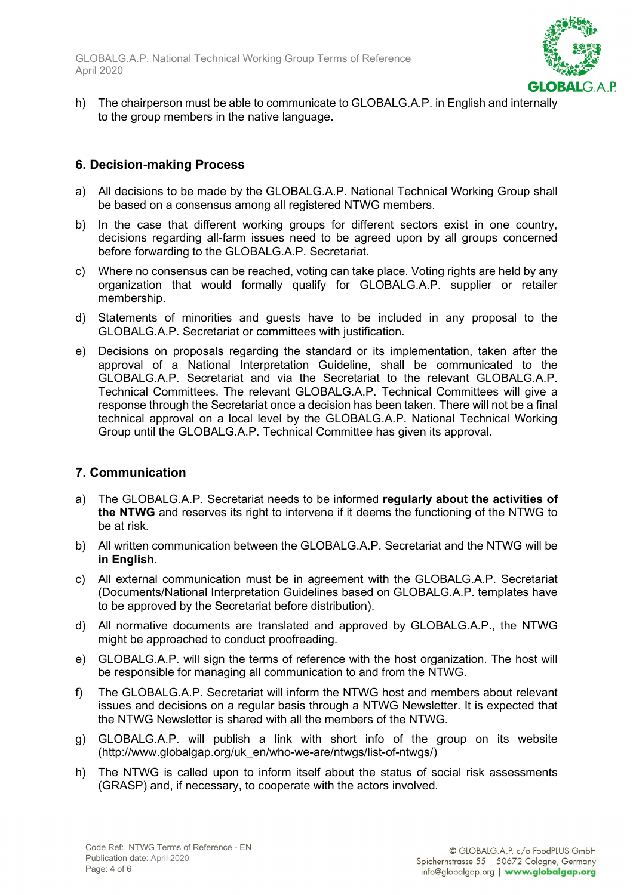

h) The chairperson must be able to communicate to GLOBALG.A.P. in English and internally to the group members in the native language.

### **6. Decision-making Process**

- a) All decisions to be made by the GLOBALG.A.P. National Technical Working Group shall be based on a consensus among all registered NTWG members.
- b) In the case that different working groups for different sectors exist in one country, decisions regarding all-farm issues need to be agreed upon by all groups concerned before forwarding to the GLOBALG.A.P. Secretariat.
- c) Where no consensus can be reached, voting can take place. Voting rights are held by any organization that would formally qualify for GLOBALG.A.P. supplier or retailer membership.
- d) Statements of minorities and guests have to be included in any proposal to the GLOBALG.A.P. Secretariat or committees with justification.
- e) Decisions on proposals regarding the standard or its implementation, taken after the approval of a National Interpretation Guideline, shall be communicated to the GLOBALG.A.P. Secretariat and via the Secretariat to the relevant GLOBALG.A.P. Technical Committees. The relevant GLOBALG.A.P. Technical Committees will give a response through the Secretariat once a decision has been taken. There will not be a final technical approval on a local level by the GLOBALG.A.P. National Technical Working Group until the GLOBALG.A.P. Technical Committee has given its approval.

### **7. Communication**

- a) The GLOBALG.A.P. Secretariat needs to be informed **regularly about the activities of the NTWG** and reserves its right to intervene if it deems the functioning of the NTWG to be at risk.
- b) All written communication between the GLOBALG.A.P. Secretariat and the NTWG will be **in English**.
- c) All external communication must be in agreement with the GLOBALG.A.P. Secretariat (Documents/National Interpretation Guidelines based on GLOBALG.A.P. templates have to be approved by the Secretariat before distribution).
- d) All normative documents are translated and approved by GLOBALG.A.P., the NTWG might be approached to conduct proofreading.
- e) GLOBALG.A.P. will sign the terms of reference with the host organization. The host will be responsible for managing all communication to and from the NTWG.
- f) The GLOBALG.A.P. Secretariat will inform the NTWG host and members about relevant issues and decisions on a regular basis through a NTWG Newsletter. It is expected that the NTWG Newsletter is shared with all the members of the NTWG.
- g) GLOBALG.A.P. will publish a link with short info of the group on its website [\(http://www.globalgap.org/uk\\_en/who-we-are/ntwgs/list-of-ntwgs/\)](http://www.globalgap.org/uk_en/who-we-are/ntwgs/list-of-ntwgs/)
- h) The NTWG is called upon to inform itself about the status of social risk assessments (GRASP) and, if necessary, to cooperate with the actors involved.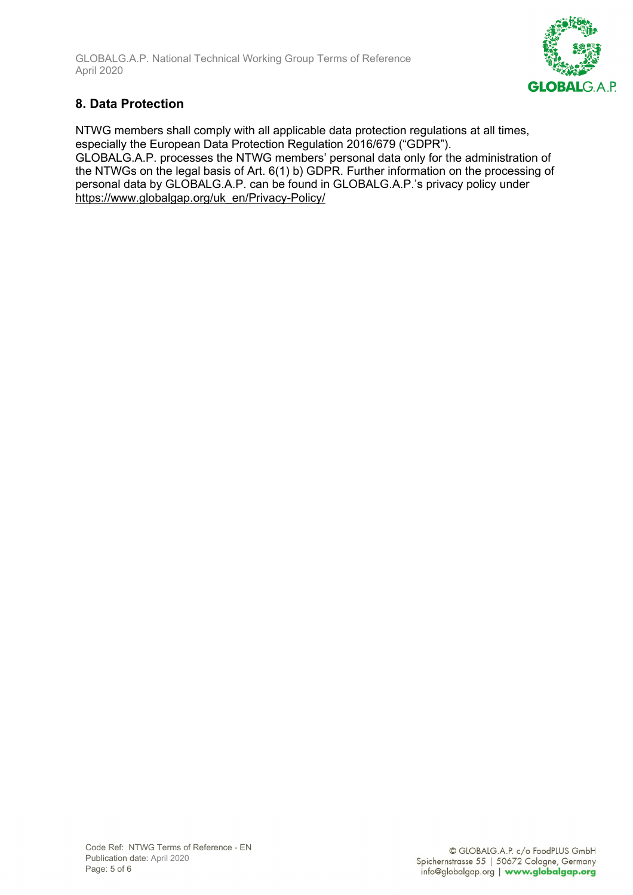

# **8. Data Protection**

NTWG members shall comply with all applicable data protection regulations at all times, especially the European Data Protection Regulation 2016/679 ("GDPR"). GLOBALG.A.P. processes the NTWG members' personal data only for the administration of the NTWGs on the legal basis of Art. 6(1) b) GDPR. Further information on the processing of personal data by GLOBALG.A.P. can be found in GLOBALG.A.P.'s privacy policy under [https://www.globalgap.org/uk\\_en/Privacy-Policy/](https://www.globalgap.org/uk_en/Privacy-Policy/)